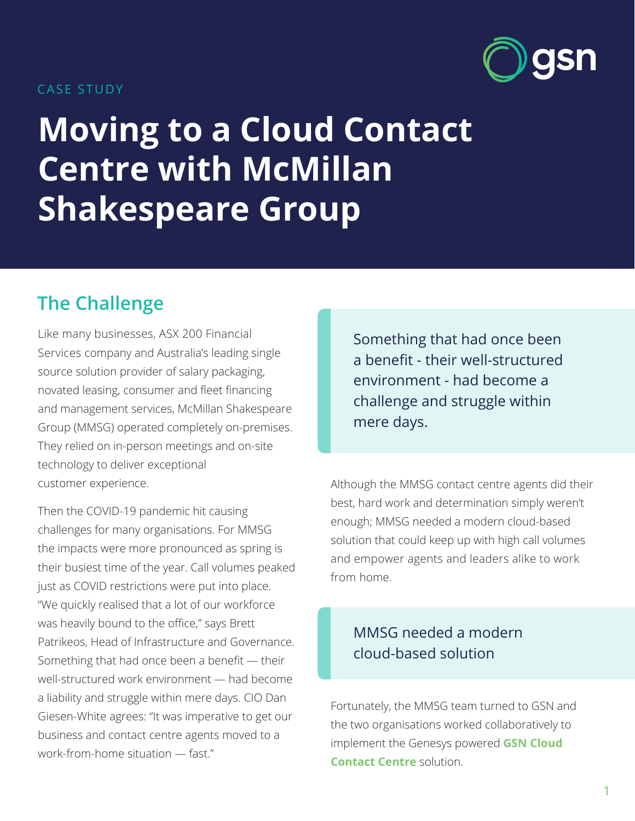### CASE STUDY

# **Moving to a Cloud Contact Centre with McMillan Shakespeare Group**

## **The Challenge**

Like many businesses, ASX 200 Financial Services company and Australia's leading single source solution provider of salary packaging, novated leasing, consumer and fleet financing and management services, McMillan Shakespeare Group (MMSG) operated completely on-premises. They relied on in-person meetings and on-site technology to deliver exceptional customer experience.

Then the COVID-19 pandemic hit causing challenges for many organisations. For MMSG the impacts were more pronounced as spring is their busiest time of the year. Call volumes peaked just as COVID restrictions were put into place. "We quickly realised that a lot of our workforce was heavily bound to the office," says Brett Patrikeos, Head of Infrastructure and Governance. Something that had once been a benefit — their well-structured work environment — had become a liability and struggle within mere days. CIO Dan Giesen-White agrees: "It was imperative to get our business and contact centre agents moved to a work-from-home situation — fast."

Something that had once been a benefit - their well-structured environment - had become a challenge and struggle within mere days.

Although the MMSG contact centre agents did their best, hard work and determination simply weren't enough; MMSG needed a modern cloud-based solution that could keep up with high call volumes and empower agents and leaders alike to work from home.

### MMSG needed a modern cloud-based solution

Fortunately, the MMSG team turned to GSN and the two organisations worked collaboratively to implement the Genesys powered **[GSN Cloud](https://www.gsn.com.au/products/cloud-carriage/)  [Contact Centre](https://www.gsn.com.au/products/cloud-carriage/)** solution.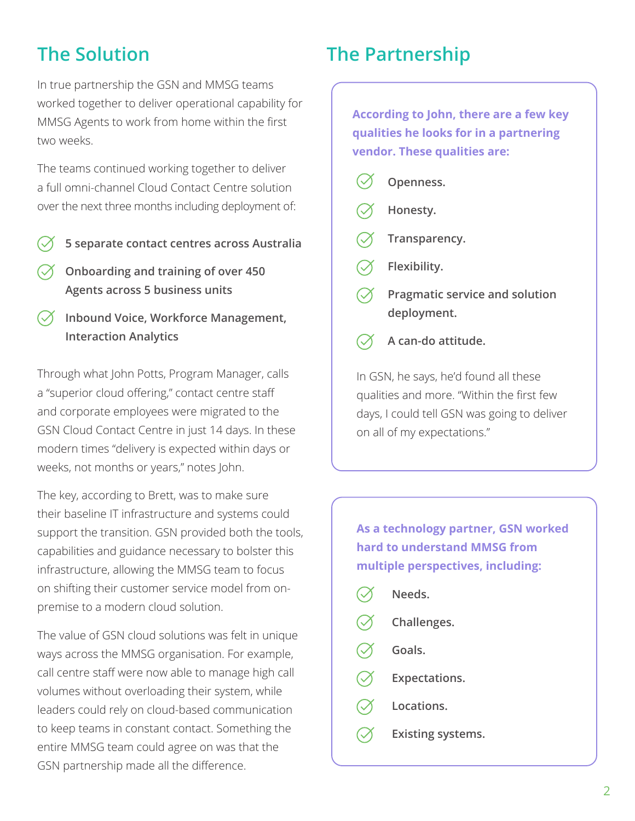### **The Solution**

In true partnership the GSN and MMSG teams worked together to deliver operational capability for MMSG Agents to work from home within the first two weeks.

The teams continued working together to deliver a full omni-channel Cloud Contact Centre solution over the next three months including deployment of:

- **5 separate contact centres across Australia**
- **Onboarding and training of over 450 Agents across 5 business units**
- **Inbound Voice, Workforce Management, Interaction Analytics**

Through what John Potts, Program Manager, calls a "superior cloud offering," contact centre staff and corporate employees were migrated to the GSN Cloud Contact Centre in just 14 days. In these modern times "delivery is expected within days or weeks, not months or years," notes John.

The key, according to Brett, was to make sure their baseline IT infrastructure and systems could support the transition. GSN provided both the tools, capabilities and guidance necessary to bolster this infrastructure, allowing the MMSG team to focus on shifting their customer service model from onpremise to a modern cloud solution.

The value of GSN cloud solutions was felt in unique ways across the MMSG organisation. For example, call centre staff were now able to manage high call volumes without overloading their system, while leaders could rely on cloud-based communication to keep teams in constant contact. Something the entire MMSG team could agree on was that the GSN partnership made all the difference.

### **The Partnership**

**According to John, there are a few key qualities he looks for in a partnering vendor. These qualities are:**

- **Openness.**
- **Honesty.**
- **Transparency.**
- **Flexibility.**
- **Pragmatic service and solution deployment.**
- **A can-do attitude.**

In GSN, he says, he'd found all these qualities and more. "Within the first few days, I could tell GSN was going to deliver on all of my expectations."

**As a technology partner, GSN worked hard to understand MMSG from multiple perspectives, including:**

|  | Needs.               |
|--|----------------------|
|  | Challenges.          |
|  | Goals.               |
|  | <b>Expectations.</b> |
|  | Locations.           |
|  |                      |

**Existing systems.**  $(\mathcal{S})$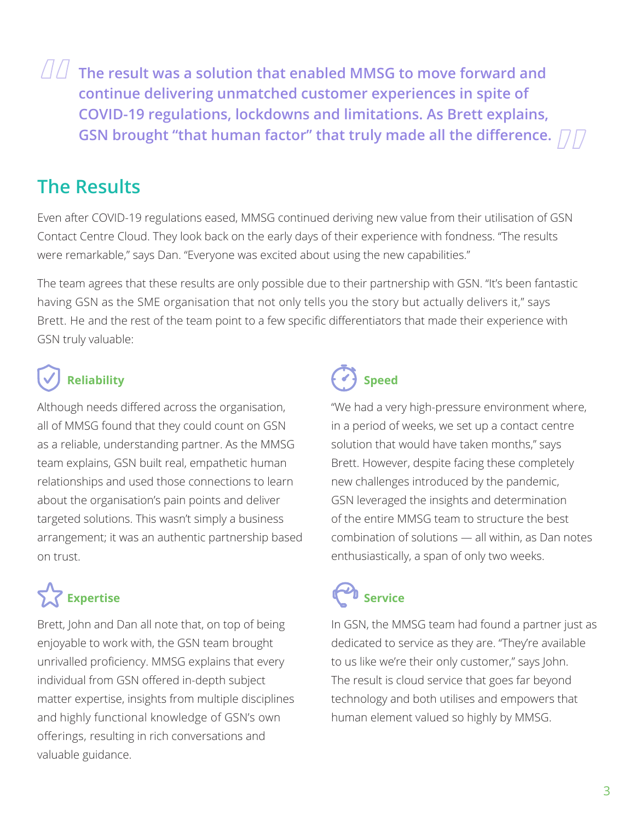**The result was a solution that enabled MMSG to move forward and continue delivering unmatched customer experiences in spite of COVID-19 regulations, lockdowns and limitations. As Brett explains,**  GSN brought "that human factor" that truly made all the difference.  $\Box\Box$ <br>R<mark>esults</mark> **"**

## **The Results**

Even after COVID-19 regulations eased, MMSG continued deriving new value from their utilisation of GSN Contact Centre Cloud. They look back on the early days of their experience with fondness. "The results were remarkable," says Dan. "Everyone was excited about using the new capabilities."

The team agrees that these results are only possible due to their partnership with GSN. "It's been fantastic having GSN as the SME organisation that not only tells you the story but actually delivers it," says Brett. He and the rest of the team point to a few specific differentiators that made their experience with GSN truly valuable:

Although needs differed across the organisation, all of MMSG found that they could count on GSN as a reliable, understanding partner. As the MMSG team explains, GSN built real, empathetic human relationships and used those connections to learn about the organisation's pain points and deliver targeted solutions. This wasn't simply a business arrangement; it was an authentic partnership based on trust.

## Expertise Service

Brett, John and Dan all note that, on top of being enjoyable to work with, the GSN team brought unrivalled proficiency. MMSG explains that every individual from GSN offered in-depth subject matter expertise, insights from multiple disciplines and highly functional knowledge of GSN's own offerings, resulting in rich conversations and valuable guidance.

# **Reliability**  $\left\{ \checkmark \right\}$  Speed

"We had a very high-pressure environment where, in a period of weeks, we set up a contact centre solution that would have taken months," says Brett. However, despite facing these completely new challenges introduced by the pandemic, GSN leveraged the insights and determination of the entire MMSG team to structure the best combination of solutions — all within, as Dan notes enthusiastically, a span of only two weeks.

In GSN, the MMSG team had found a partner just as dedicated to service as they are. "They're available to us like we're their only customer," says John. The result is cloud service that goes far beyond technology and both utilises and empowers that human element valued so highly by MMSG.